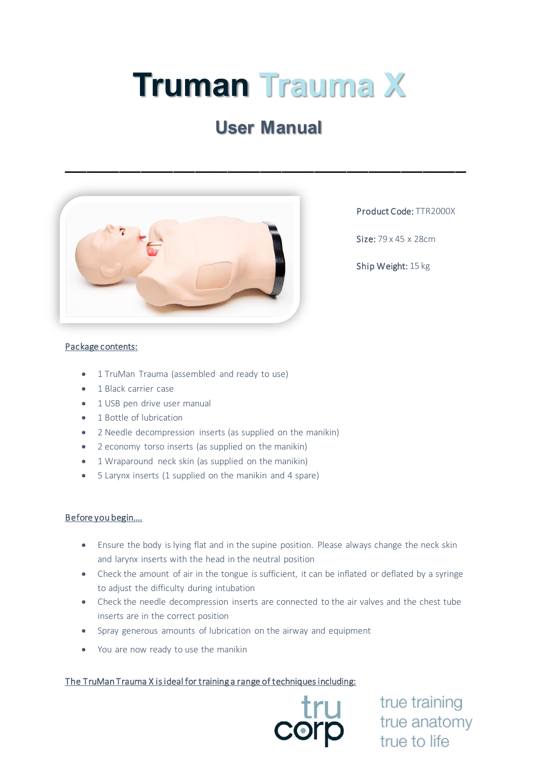# **Truman Trauma X**

## **User Manual**

\_\_\_\_\_\_\_\_\_\_\_\_\_\_\_\_\_\_\_\_\_\_\_\_\_\_\_\_\_\_\_\_\_\_\_\_\_



Product Code: TTR2000X

Size: 79 x 45 x 28cm

Ship Weight: 15 kg

#### Package contents:

- 1 TruMan Trauma (assembled and ready to use)
- 1 Black carrier case
- 1 USB pen drive user manual
- 1 Bottle of lubrication
- 2 Needle decompression inserts (as supplied on the manikin)
- 2 economy torso inserts (as supplied on the manikin)
- 1 Wraparound neck skin (as supplied on the manikin)
- 5 Larynx inserts (1 supplied on the manikin and 4 spare)

#### Before you begin….

- Ensure the body is lying flat and in the supine position. Please always change the neck skin and larynx inserts with the head in the neutral position
- Check the amount of air in the tongue is sufficient, it can be inflated or deflated by a syringe to adjust the difficulty during intubation
- Check the needle decompression inserts are connected to the air valves and the chest tube inserts are in the correct position
- Spray generous amounts of lubrication on the airway and equipment
- You are now ready to use the manikin

#### The TruMan Trauma X is ideal for training a range of techniques including:



true training true anatomy true to life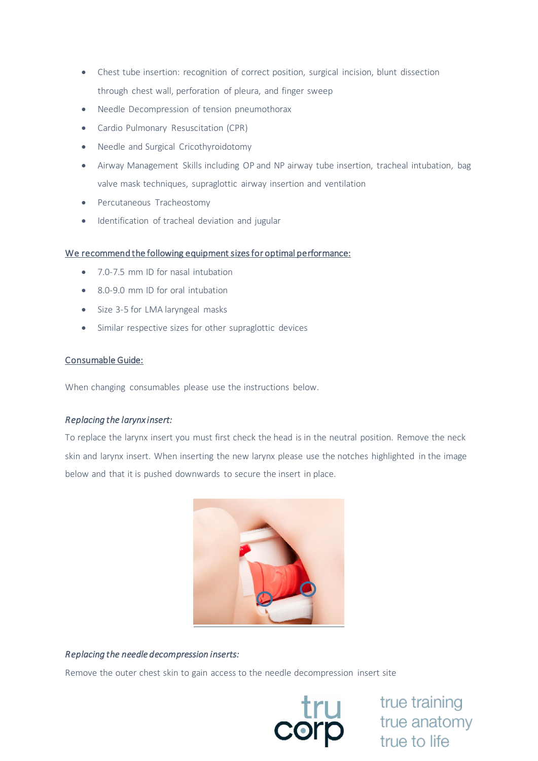- Chest tube insertion: recognition of correct position, surgical incision, blunt dissection through chest wall, perforation of pleura, and finger sweep
- Needle Decompression of tension pneumothorax
- Cardio Pulmonary Resuscitation (CPR)
- Needle and Surgical Cricothyroidotomy
- Airway Management Skills including OP and NP airway tube insertion, tracheal intubation, bag valve mask techniques, supraglottic airway insertion and ventilation
- Percutaneous Tracheostomy
- Identification of tracheal deviation and jugular

#### We recommend the following equipment sizes for optimal performance:

- 7.0-7.5 mm ID for nasal intubation
- 8.0-9.0 mm ID for oral intubation
- Size 3-5 for LMA laryngeal masks
- Similar respective sizes for other supraglottic devices

#### Consumable Guide:

When changing consumables please use the instructions below.

### *Replacing the larynx insert:*

To replace the larynx insert you must first check the head is in the neutral position. Remove the neck skin and larynx insert. When inserting the new larynx please use the notches highlighted in the image below and that it is pushed downwards to secure the insert in place.



#### *Replacing the needle decompression inserts:*

Remove the outer chest skin to gain access to the needle decompression insert site



true training<br>
orp<br>
true to life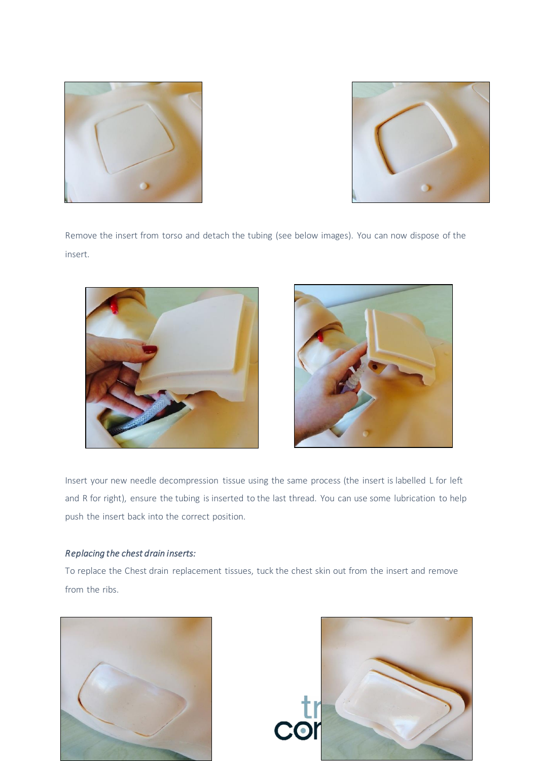



Remove the insert from torso and detach the tubing (see below images). You can now dispose of the insert.





Insert your new needle decompression tissue using the same process (the insert is labelled L for left and R for right), ensure the tubing is inserted to the last thread. You can use some lubrication to help push the insert back into the correct position.

#### *Replacing the chest drain inserts:*

To replace the Chest drain replacement tissues, tuck the chest skin out from the insert and remove from the ribs.



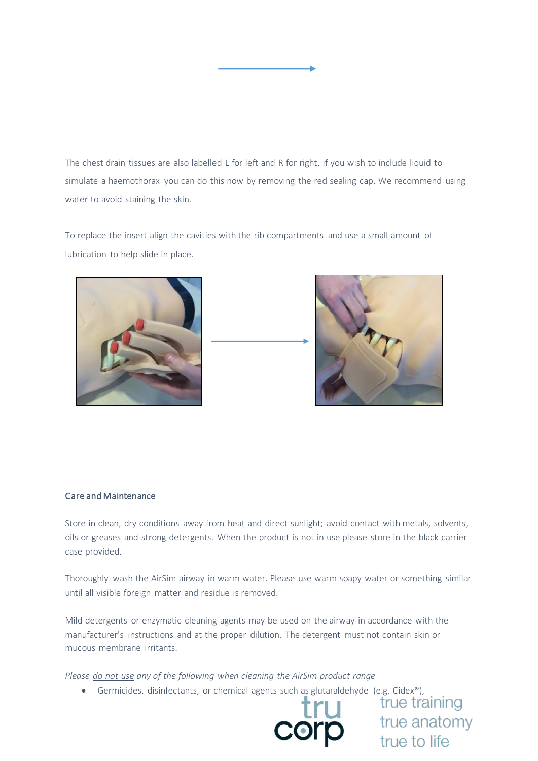The chest drain tissues are also labelled L for left and R for right, if you wish to include liquid to simulate a haemothorax you can do this now by removing the red sealing cap. We recommend using water to avoid staining the skin.

To replace the insert align the cavities with the rib compartments and use a small amount of lubrication to help slide in place.





#### Care and Maintenance

Store in clean, dry conditions away from heat and direct sunlight; avoid contact with metals, solvents, oils or greases and strong detergents. When the product is not in use please store in the black carrier case provided.

Thoroughly wash the AirSim airway in warm water. Please use warm soapy water or something similar until all visible foreign matter and residue is removed.

Mild detergents or enzymatic cleaning agents may be used on the airway in accordance with the manufacturer's instructions and at the proper dilution. The detergent must not contain skin or mucous membrane irritants.

*Please do not use any of the following when cleaning the AirSim product range*

• Germicides, disinfectants, or chemical agents such as glutaraldehyde (e.g. Cidex®),<br>• True training



true anatomy true to life